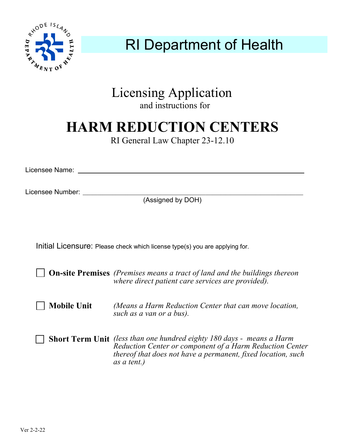

## RI Department of Health

### Licensing Application

and instructions for

# **HARM REDUCTION CENTERS**

RI General Law Chapter 23-12.10

Licensee Name:

Licensee Number:

(Assigned by DOH)

Initial Licensure: Please check which license type(s) you are applying for.

**On-site Premises** (Premises means a tract of land and the buildings thereon **Mobile Unit** *where direct patient care services are provided). (Means a Harm Reduction Center that can move location, such as a van or a bus).*

**Short Term Unit**  *(less than one hundred eighty 180 days - means a Harm Reduction Center or component of a Harm Reduction Center thereof that does not have a permanent, fixed location, such as a tent.)*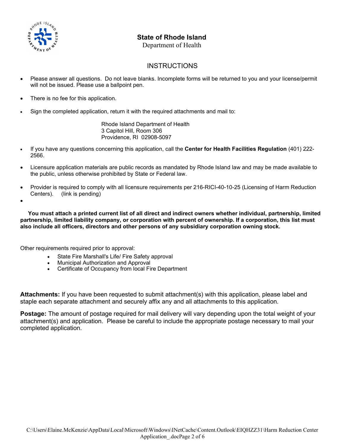

#### **State of Rhode Island**

Department of Health

#### **INSTRUCTIONS**

- Please answer all questions. Do not leave blanks. Incomplete forms will be returned to you and your license/permit will not be issued. Please use a ballpoint pen.
- There is no fee for this application.
- Sign the completed application, return it with the required attachments and mail to:

Rhode Island Department of Health 3 Capitol Hill, Room 306 Providence, RI 02908-5097

- If you have any questions concerning this application, call the **Center for Health Facilities Regulation** (401) 222- 2566.
- Licensure application materials are public records as mandated by Rhode Island law and may be made available to the public, unless otherwise prohibited by State or Federal law.
- Provider is required to comply with all licensure requirements per 216-RICI-40-10-25 (Licensing of Harm Reduction Centers). (link is pending)
- •

 **You must attach a printed current list of all direct and indirect owners whether individual, partnership, limited partnership, limited liability company, or corporation with percent of ownership. If a corporation, this list must also include all officers, directors and other persons of any subsidiary corporation owning stock.**

Other requirements required prior to approval:

- State Fire Marshall's Life/ Fire Safety approval
- Municipal Authorization and Approval
- Certificate of Occupancy from local Fire Department

**Attachments:** If you have been requested to submit attachment(s) with this application, please label and staple each separate attachment and securely affix any and all attachments to this application.

**Postage:** The amount of postage required for mail delivery will vary depending upon the total weight of your attachment(s) and application. Please be careful to include the appropriate postage necessary to mail your completed application.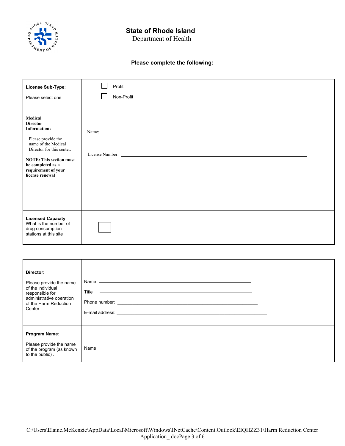

#### **State of Rhode Island**

Department of Health

#### **Please complete the following:**

| License Sub-Type:<br>Please select one                                                                                                                                                                                       | Profit<br>Non-Profit |  |
|------------------------------------------------------------------------------------------------------------------------------------------------------------------------------------------------------------------------------|----------------------|--|
| Medical<br><b>Director</b><br><b>Information:</b><br>Please provide the<br>name of the Medical<br>Director for this center.<br><b>NOTE: This section must</b><br>be completed as a<br>requirement of your<br>license renewal |                      |  |
| <b>Licensed Capacity</b><br>What is the number of<br>drug consumption<br>stations at this site                                                                                                                               |                      |  |

| Director:<br>Please provide the name<br>of the individual<br>responsible for<br>administrative operation<br>of the Harm Reduction<br>Center | Title |  |
|---------------------------------------------------------------------------------------------------------------------------------------------|-------|--|
| Program Name:<br>Please provide the name<br>of the program (as known<br>to the public).                                                     |       |  |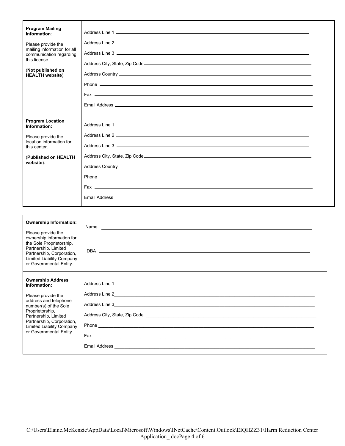| <b>Program Mailing</b><br>Information:<br>Please provide the<br>mailing information for all<br>communication regarding<br>this license.<br>(Not published on<br><b>HEALTH</b> website). |  |
|-----------------------------------------------------------------------------------------------------------------------------------------------------------------------------------------|--|
| <b>Program Location</b><br>Information:<br>Please provide the<br>location information for<br>this center.<br>(Published on HEALTH<br>website).                                          |  |

| <b>Ownership Information:</b><br>Please provide the<br>ownership information for<br>the Sole Proprietorship,<br>Partnership, Limited<br>Partnership, Corporation,<br><b>Limited Liability Company</b><br>or Governmental Entity.                 |  |
|--------------------------------------------------------------------------------------------------------------------------------------------------------------------------------------------------------------------------------------------------|--|
| <b>Ownership Address</b><br>Information:<br>Please provide the<br>address and telephone<br>number(s) of the Sole<br>Proprietorship,<br>Partnership, Limited<br>Partnership, Corporation,<br>Limited Liability Company<br>or Governmental Entity. |  |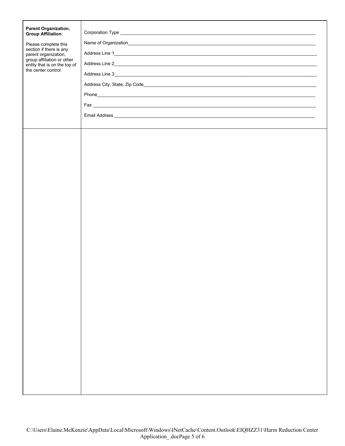| <b>Parent Organization,</b><br><b>Group Affiliation:</b><br>Please complete this<br>section if there is any<br>parent organization,<br>group affiliation or other<br>entity that is on the top of<br>the center control |  |
|-------------------------------------------------------------------------------------------------------------------------------------------------------------------------------------------------------------------------|--|
|                                                                                                                                                                                                                         |  |